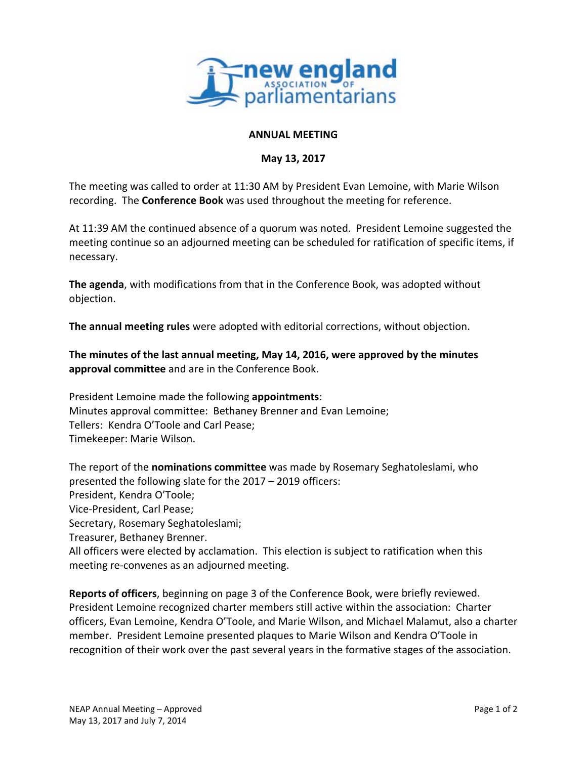

## **ANNUAL MEETING**

## **May 13, 2017**

The meeting was called to order at 11:30 AM by President Evan Lemoine, with Marie Wilson recording. The **Conference Book** was used throughout the meeting for reference.

At 11:39 AM the continued absence of a quorum was noted. President Lemoine suggested the meeting continue so an adjourned meeting can be scheduled for ratification of specific items, if necessary.

**The agenda**, with modifications from that in the Conference Book, was adopted without objection.

**The annual meeting rules** were adopted with editorial corrections, without objection.

**The minutes of the last annual meeting, May 14, 2016, were approved by the minutes approval committee** and are in the Conference Book.

President Lemoine made the following **appointments**: Minutes approval committee: Bethaney Brenner and Evan Lemoine; Tellers: Kendra O'Toole and Carl Pease; Timekeeper: Marie Wilson.

The report of the **nominations committee** was made by Rosemary Seghatoleslami, who presented the following slate for the 2017 – 2019 officers: President, Kendra O'Toole; Vice‐President, Carl Pease; Secretary, Rosemary Seghatoleslami; Treasurer, Bethaney Brenner. All officers were elected by acclamation. This election is subject to ratification when this meeting re‐convenes as an adjourned meeting.

**Reports of officers**, beginning on page 3 of the Conference Book, were briefly reviewed. President Lemoine recognized charter members still active within the association: Charter officers, Evan Lemoine, Kendra O'Toole, and Marie Wilson, and Michael Malamut, also a charter member. President Lemoine presented plaques to Marie Wilson and Kendra O'Toole in recognition of their work over the past several years in the formative stages of the association.